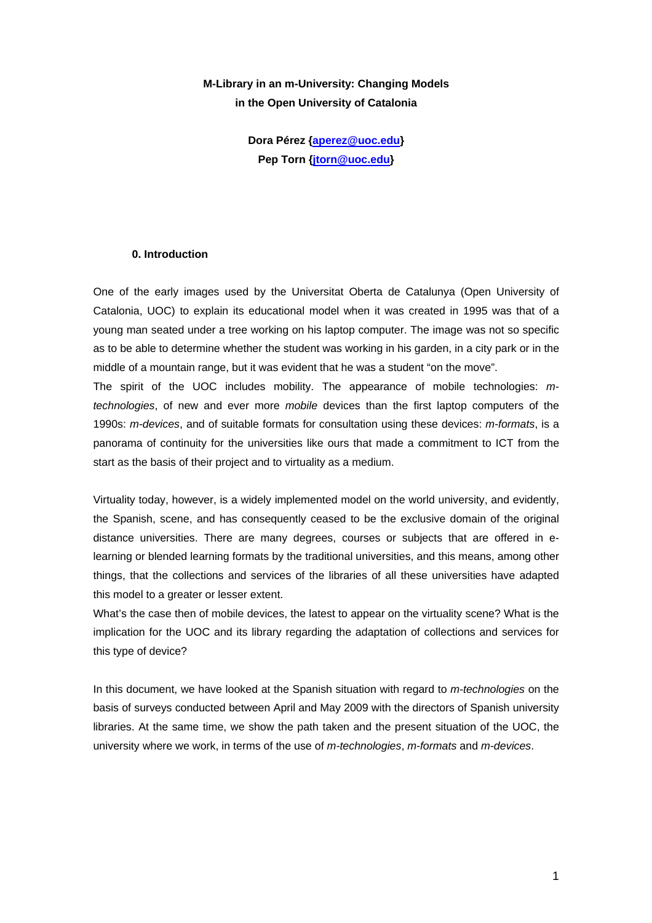# **M-Library in an m-University: Changing Models in the Open University of Catalonia**

**Dora Pérez [{aperez@uoc.edu](mailto:aperez@uoc.edu)} Pep Torn {[jtorn@uoc.edu}](mailto:jtorn@uoc.edu)** 

#### **0. Introduction**

One of the early images used by the Universitat Oberta de Catalunya (Open University of Catalonia, UOC) to explain its educational model when it was created in 1995 was that of a young man seated under a tree working on his laptop computer. The image was not so specific as to be able to determine whether the student was working in his garden, in a city park or in the middle of a mountain range, but it was evident that he was a student "on the move".

The spirit of the UOC includes mobility. The appearance of mobile technologies: *mtechnologies*, of new and ever more *mobile* devices than the first laptop computers of the 1990s: *m-devices*, and of suitable formats for consultation using these devices: *m-formats*, is a panorama of continuity for the universities like ours that made a commitment to ICT from the start as the basis of their project and to virtuality as a medium.

Virtuality today, however, is a widely implemented model on the world university, and evidently, the Spanish, scene, and has consequently ceased to be the exclusive domain of the original distance universities. There are many degrees, courses or subjects that are offered in elearning or blended learning formats by the traditional universities, and this means, among other things, that the collections and services of the libraries of all these universities have adapted this model to a greater or lesser extent.

What's the case then of mobile devices, the latest to appear on the virtuality scene? What is the implication for the UOC and its library regarding the adaptation of collections and services for this type of device?

In this document, we have looked at the Spanish situation with regard to *m-technologies* on the basis of surveys conducted between April and May 2009 with the directors of Spanish university libraries. At the same time, we show the path taken and the present situation of the UOC, the university where we work, in terms of the use of *m-technologies*, *m-formats* and *m-devices*.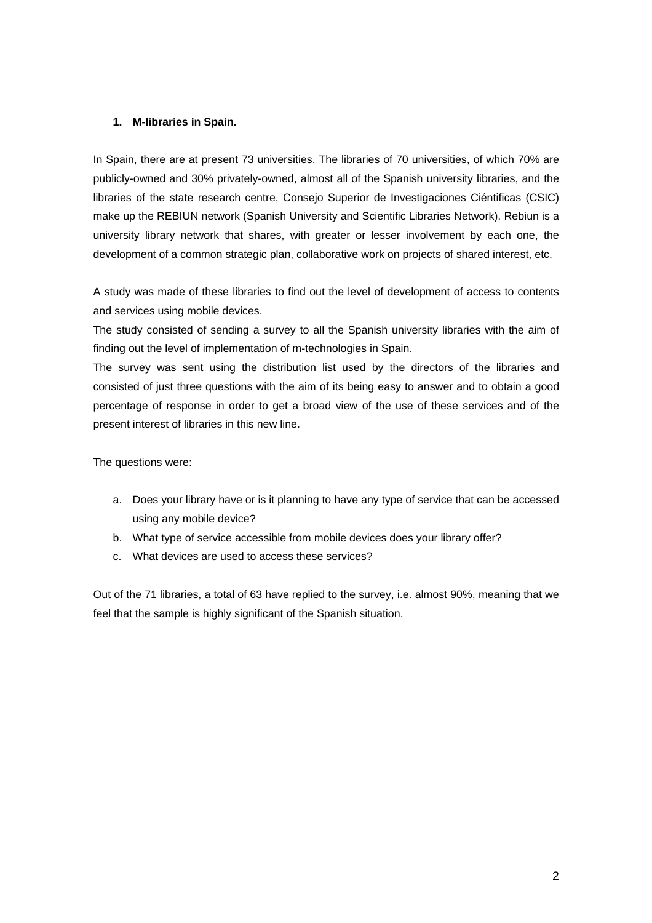## **1. M-libraries in Spain.**

In Spain, there are at present 73 universities. The libraries of 70 universities, of which 70% are publicly-owned and 30% privately-owned, almost all of the Spanish university libraries, and the libraries of the state research centre, Consejo Superior de Investigaciones Ciéntificas (CSIC) make up the REBIUN network (Spanish University and Scientific Libraries Network). Rebiun is a university library network that shares, with greater or lesser involvement by each one, the development of a common strategic plan, collaborative work on projects of shared interest, etc.

A study was made of these libraries to find out the level of development of access to contents and services using mobile devices.

The study consisted of sending a survey to all the Spanish university libraries with the aim of finding out the level of implementation of m-technologies in Spain.

The survey was sent using the distribution list used by the directors of the libraries and consisted of just three questions with the aim of its being easy to answer and to obtain a good percentage of response in order to get a broad view of the use of these services and of the present interest of libraries in this new line.

The questions were:

- a. Does your library have or is it planning to have any type of service that can be accessed using any mobile device?
- b. What type of service accessible from mobile devices does your library offer?
- c. What devices are used to access these services?

Out of the 71 libraries, a total of 63 have replied to the survey, i.e. almost 90%, meaning that we feel that the sample is highly significant of the Spanish situation.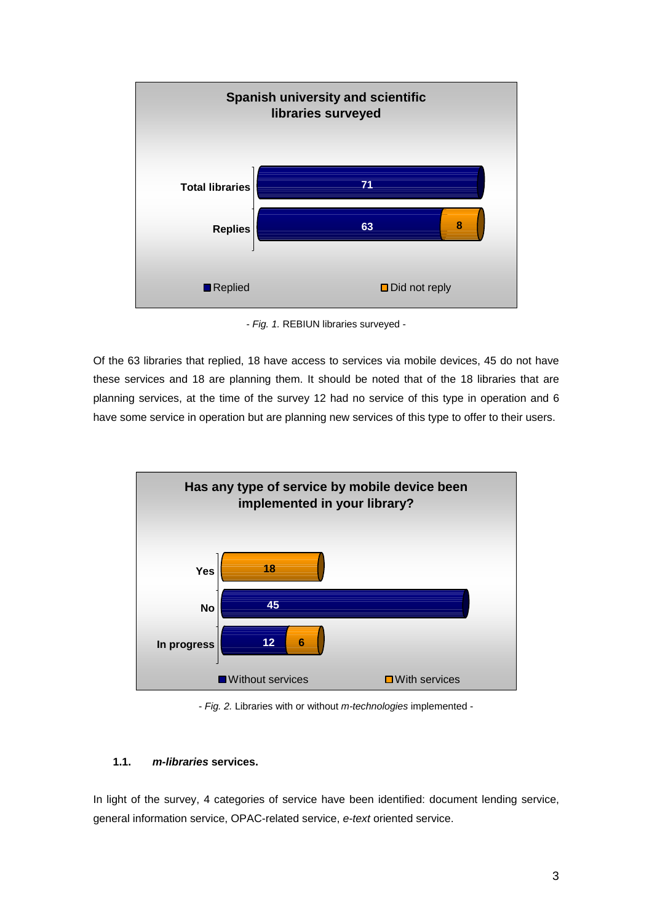

- *Fig. 1.* REBIUN libraries surveyed -

Of the 63 libraries that replied, 18 have access to services via mobile devices, 45 do not have these services and 18 are planning them. It should be noted that of the 18 libraries that are planning services, at the time of the survey 12 had no service of this type in operation and 6 have some service in operation but are planning new services of this type to offer to their users.



- *Fig. 2.* Libraries with or without *m-technologies* implemented -

## **1.1.** *m-libraries* **services.**

In light of the survey, 4 categories of service have been identified: document lending service, general information service, OPAC-related service, *e-text* oriented service.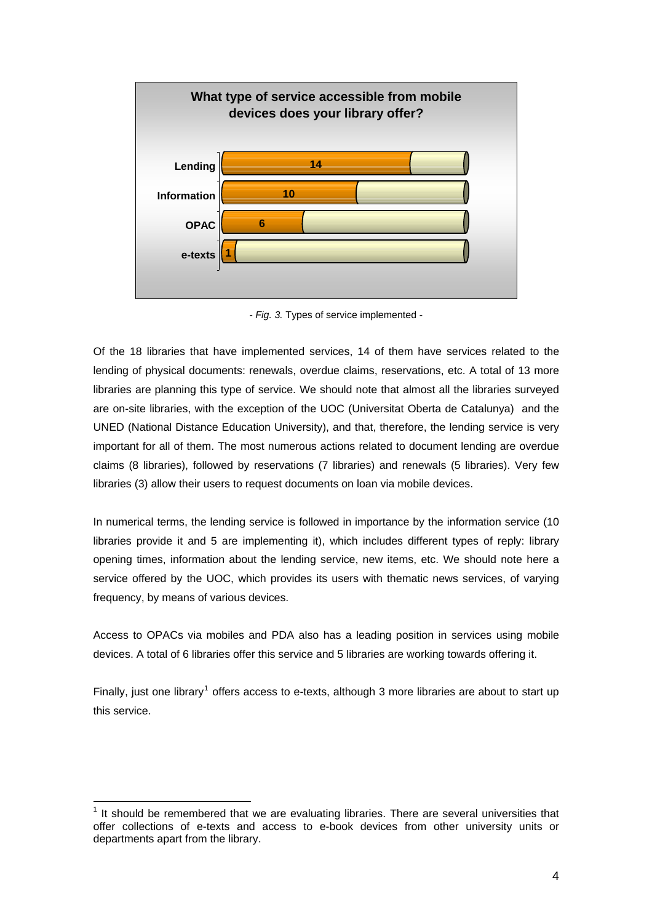

- *Fig. 3.* Types of service implemented -

Of the 18 libraries that have implemented services, 14 of them have services related to the lending of physical documents: renewals, overdue claims, reservations, etc. A total of 13 more libraries are planning this type of service. We should note that almost all the libraries surveyed are on-site libraries, with the exception of the UOC (Universitat Oberta de Catalunya) and the UNED (National Distance Education University), and that, therefore, the lending service is very important for all of them. The most numerous actions related to document lending are overdue claims (8 libraries), followed by reservations (7 libraries) and renewals (5 libraries). Very few libraries (3) allow their users to request documents on loan via mobile devices.

In numerical terms, the lending service is followed in importance by the information service (10 libraries provide it and 5 are implementing it), which includes different types of reply: library opening times, information about the lending service, new items, etc. We should note here a service offered by the UOC, which provides its users with thematic news services, of varying frequency, by means of various devices.

Access to OPACs via mobiles and PDA also has a leading position in services using mobile devices. A total of 6 libraries offer this service and 5 libraries are working towards offering it.

Finally, just one library<sup>[1](#page-3-0)</sup> offers access to e-texts, although 3 more libraries are about to start up this service.

 $\overline{a}$ 

<span id="page-3-0"></span> $<sup>1</sup>$  It should be remembered that we are evaluating libraries. There are several universities that</sup> offer collections of e-texts and access to e-book devices from other university units or departments apart from the library.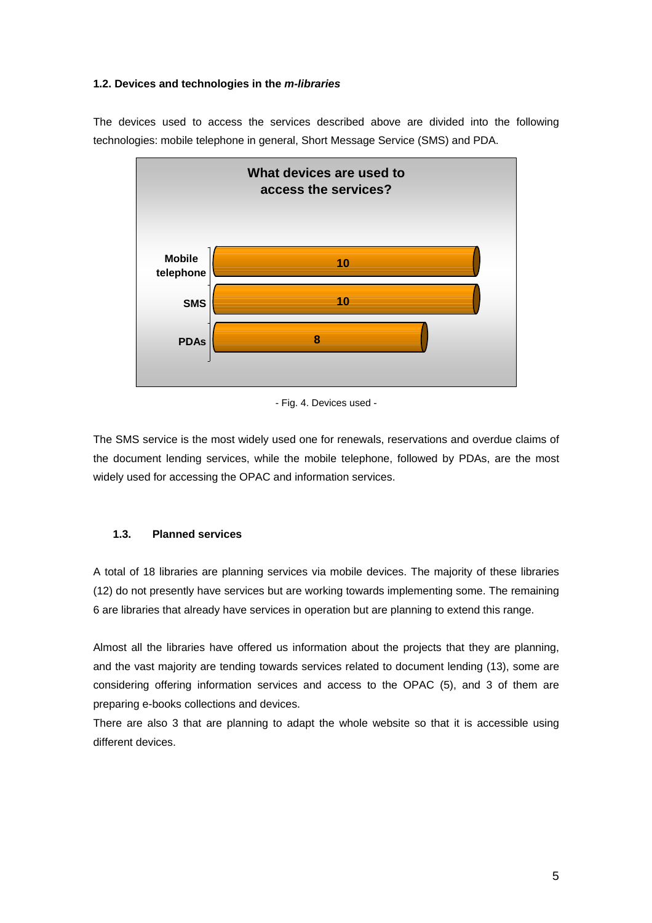### **1.2. Devices and technologies in the** *m-libraries*

The devices used to access the services described above are divided into the following technologies: mobile telephone in general, Short Message Service (SMS) and PDA.



<sup>-</sup> Fig. 4. Devices used -

The SMS service is the most widely used one for renewals, reservations and overdue claims of the document lending services, while the mobile telephone, followed by PDAs, are the most widely used for accessing the OPAC and information services.

## **1.3. Planned services**

A total of 18 libraries are planning services via mobile devices. The majority of these libraries (12) do not presently have services but are working towards implementing some. The remaining 6 are libraries that already have services in operation but are planning to extend this range.

Almost all the libraries have offered us information about the projects that they are planning, and the vast majority are tending towards services related to document lending (13), some are considering offering information services and access to the OPAC (5), and 3 of them are preparing e-books collections and devices.

There are also 3 that are planning to adapt the whole website so that it is accessible using different devices.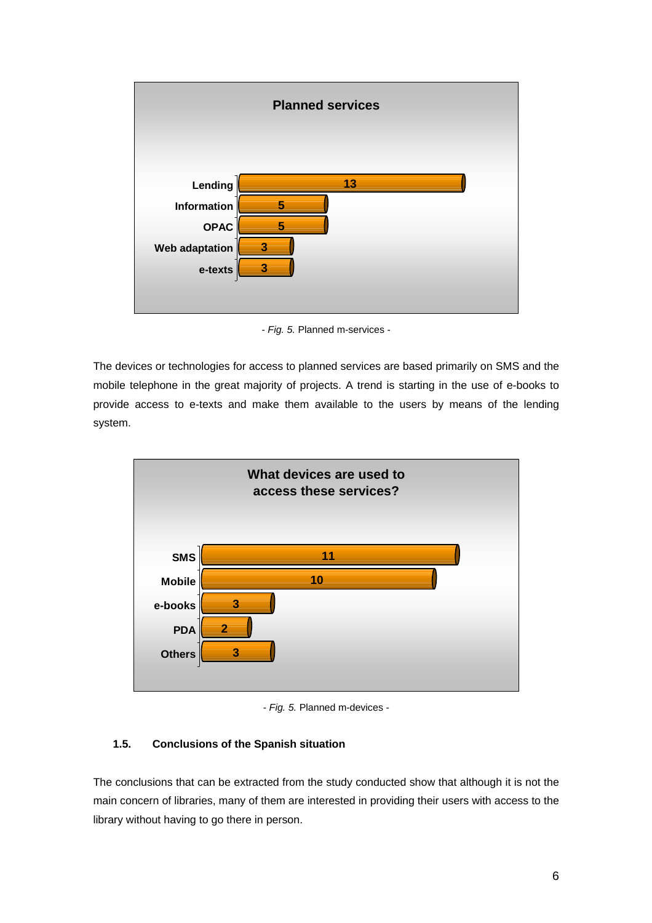

- *Fig. 5.* Planned m-services -

The devices or technologies for access to planned services are based primarily on SMS and the mobile telephone in the great majority of projects. A trend is starting in the use of e-books to provide access to e-texts and make them available to the users by means of the lending system.



- *Fig. 5.* Planned m-devices -

## **1.5. Conclusions of the Spanish situation**

The conclusions that can be extracted from the study conducted show that although it is not the main concern of libraries, many of them are interested in providing their users with access to the library without having to go there in person.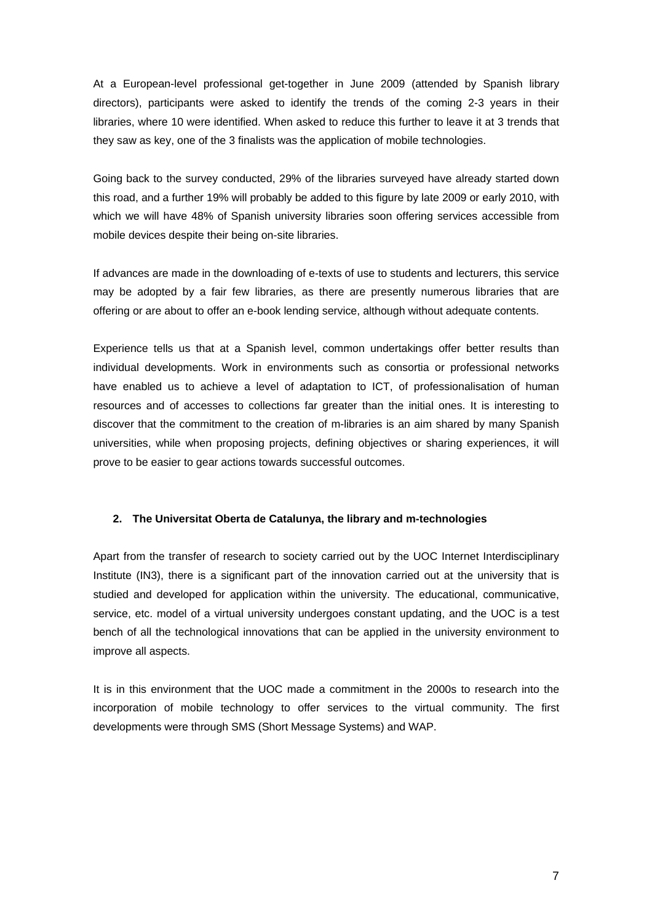At a European-level professional get-together in June 2009 (attended by Spanish library directors), participants were asked to identify the trends of the coming 2-3 years in their libraries, where 10 were identified. When asked to reduce this further to leave it at 3 trends that they saw as key, one of the 3 finalists was the application of mobile technologies.

Going back to the survey conducted, 29% of the libraries surveyed have already started down this road, and a further 19% will probably be added to this figure by late 2009 or early 2010, with which we will have 48% of Spanish university libraries soon offering services accessible from mobile devices despite their being on-site libraries.

If advances are made in the downloading of e-texts of use to students and lecturers, this service may be adopted by a fair few libraries, as there are presently numerous libraries that are offering or are about to offer an e-book lending service, although without adequate contents.

Experience tells us that at a Spanish level, common undertakings offer better results than individual developments. Work in environments such as consortia or professional networks have enabled us to achieve a level of adaptation to ICT, of professionalisation of human resources and of accesses to collections far greater than the initial ones. It is interesting to discover that the commitment to the creation of m-libraries is an aim shared by many Spanish universities, while when proposing projects, defining objectives or sharing experiences, it will prove to be easier to gear actions towards successful outcomes.

### **2. The Universitat Oberta de Catalunya, the library and m-technologies**

Apart from the transfer of research to society carried out by the UOC Internet Interdisciplinary Institute (IN3), there is a significant part of the innovation carried out at the university that is studied and developed for application within the university. The educational, communicative, service, etc. model of a virtual university undergoes constant updating, and the UOC is a test bench of all the technological innovations that can be applied in the university environment to improve all aspects.

It is in this environment that the UOC made a commitment in the 2000s to research into the incorporation of mobile technology to offer services to the virtual community. The first developments were through SMS (Short Message Systems) and WAP.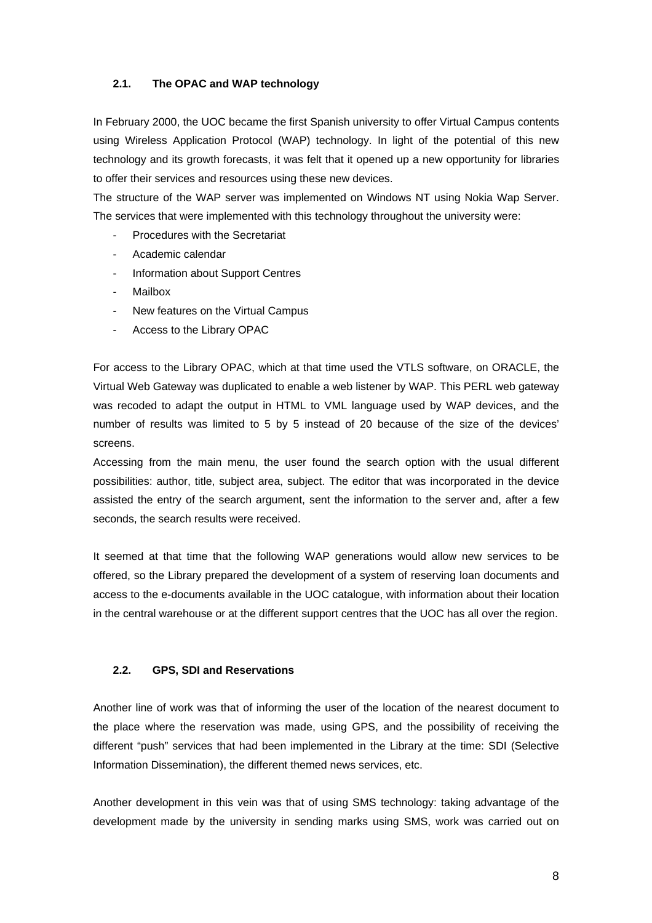#### **2.1. The OPAC and WAP technology**

In February 2000, the UOC became the first Spanish university to offer Virtual Campus contents using Wireless Application Protocol (WAP) technology. In light of the potential of this new technology and its growth forecasts, it was felt that it opened up a new opportunity for libraries to offer their services and resources using these new devices.

The structure of the WAP server was implemented on Windows NT using Nokia Wap Server. The services that were implemented with this technology throughout the university were:

- Procedures with the Secretariat
- Academic calendar
- Information about Support Centres
- Mailbox
- New features on the Virtual Campus
- Access to the Library OPAC

For access to the Library OPAC, which at that time used the VTLS software, on ORACLE, the Virtual Web Gateway was duplicated to enable a web listener by WAP. This PERL web gateway was recoded to adapt the output in HTML to VML language used by WAP devices, and the number of results was limited to 5 by 5 instead of 20 because of the size of the devices' screens.

Accessing from the main menu, the user found the search option with the usual different possibilities: author, title, subject area, subject. The editor that was incorporated in the device assisted the entry of the search argument, sent the information to the server and, after a few seconds, the search results were received.

It seemed at that time that the following WAP generations would allow new services to be offered, so the Library prepared the development of a system of reserving loan documents and access to the e-documents available in the UOC catalogue, with information about their location in the central warehouse or at the different support centres that the UOC has all over the region.

#### **2.2. GPS, SDI and Reservations**

Another line of work was that of informing the user of the location of the nearest document to the place where the reservation was made, using GPS, and the possibility of receiving the different "push" services that had been implemented in the Library at the time: SDI (Selective Information Dissemination), the different themed news services, etc.

Another development in this vein was that of using SMS technology: taking advantage of the development made by the university in sending marks using SMS, work was carried out on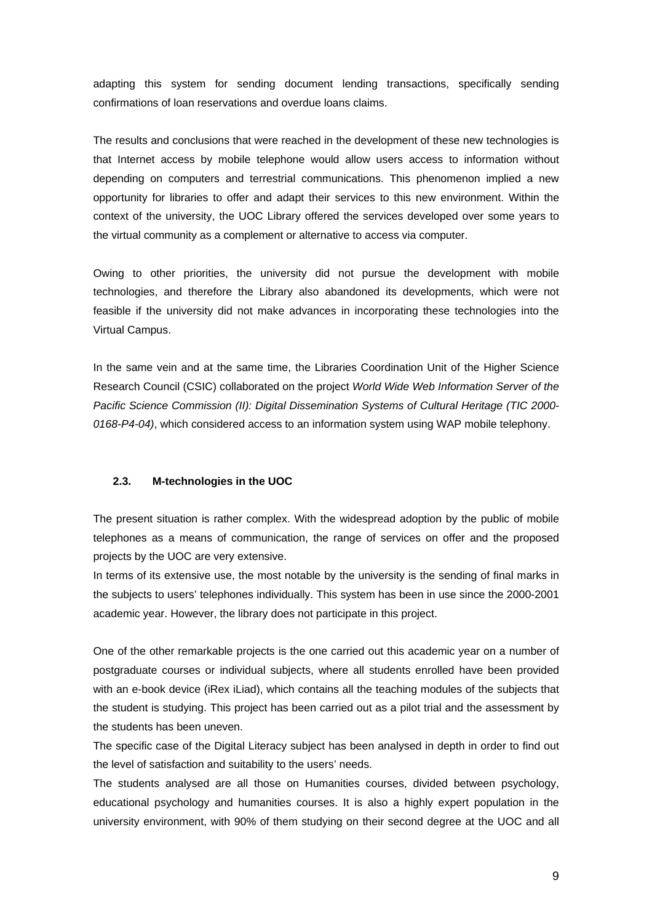adapting this system for sending document lending transactions, specifically sending confirmations of loan reservations and overdue loans claims.

The results and conclusions that were reached in the development of these new technologies is that Internet access by mobile telephone would allow users access to information without depending on computers and terrestrial communications. This phenomenon implied a new opportunity for libraries to offer and adapt their services to this new environment. Within the context of the university, the UOC Library offered the services developed over some years to the virtual community as a complement or alternative to access via computer.

Owing to other priorities, the university did not pursue the development with mobile technologies, and therefore the Library also abandoned its developments, which were not feasible if the university did not make advances in incorporating these technologies into the Virtual Campus.

In the same vein and at the same time, the Libraries Coordination Unit of the Higher Science Research Council (CSIC) collaborated on the project *World Wide Web Information Server of the Pacific Science Commission (II): Digital Dissemination Systems of Cultural Heritage (TIC 2000- 0168-P4-04)*, which considered access to an information system using WAP mobile telephony.

### **2.3. M-technologies in the UOC**

The present situation is rather complex. With the widespread adoption by the public of mobile telephones as a means of communication, the range of services on offer and the proposed projects by the UOC are very extensive.

In terms of its extensive use, the most notable by the university is the sending of final marks in the subjects to users' telephones individually. This system has been in use since the 2000-2001 academic year. However, the library does not participate in this project.

One of the other remarkable projects is the one carried out this academic year on a number of postgraduate courses or individual subjects, where all students enrolled have been provided with an e-book device (iRex iLiad), which contains all the teaching modules of the subjects that the student is studying. This project has been carried out as a pilot trial and the assessment by the students has been uneven.

The specific case of the Digital Literacy subject has been analysed in depth in order to find out the level of satisfaction and suitability to the users' needs.

The students analysed are all those on Humanities courses, divided between psychology, educational psychology and humanities courses. It is also a highly expert population in the university environment, with 90% of them studying on their second degree at the UOC and all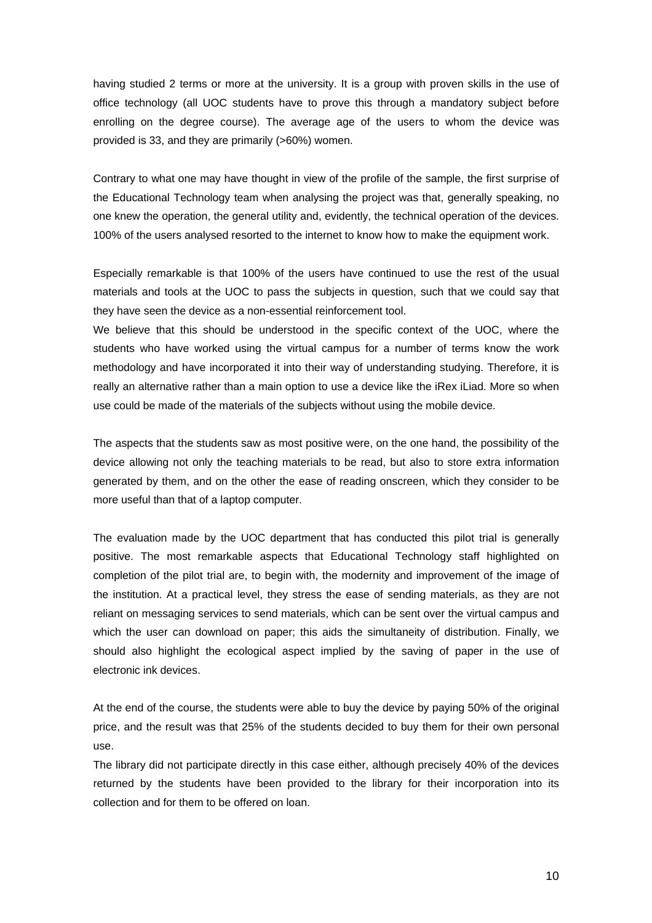having studied 2 terms or more at the university. It is a group with proven skills in the use of office technology (all UOC students have to prove this through a mandatory subject before enrolling on the degree course). The average age of the users to whom the device was provided is 33, and they are primarily (>60%) women.

Contrary to what one may have thought in view of the profile of the sample, the first surprise of the Educational Technology team when analysing the project was that, generally speaking, no one knew the operation, the general utility and, evidently, the technical operation of the devices. 100% of the users analysed resorted to the internet to know how to make the equipment work.

Especially remarkable is that 100% of the users have continued to use the rest of the usual materials and tools at the UOC to pass the subjects in question, such that we could say that they have seen the device as a non-essential reinforcement tool.

We believe that this should be understood in the specific context of the UOC, where the students who have worked using the virtual campus for a number of terms know the work methodology and have incorporated it into their way of understanding studying. Therefore, it is really an alternative rather than a main option to use a device like the iRex iLiad. More so when use could be made of the materials of the subjects without using the mobile device.

The aspects that the students saw as most positive were, on the one hand, the possibility of the device allowing not only the teaching materials to be read, but also to store extra information generated by them, and on the other the ease of reading onscreen, which they consider to be more useful than that of a laptop computer.

The evaluation made by the UOC department that has conducted this pilot trial is generally positive. The most remarkable aspects that Educational Technology staff highlighted on completion of the pilot trial are, to begin with, the modernity and improvement of the image of the institution. At a practical level, they stress the ease of sending materials, as they are not reliant on messaging services to send materials, which can be sent over the virtual campus and which the user can download on paper; this aids the simultaneity of distribution. Finally, we should also highlight the ecological aspect implied by the saving of paper in the use of electronic ink devices.

At the end of the course, the students were able to buy the device by paying 50% of the original price, and the result was that 25% of the students decided to buy them for their own personal use.

The library did not participate directly in this case either, although precisely 40% of the devices returned by the students have been provided to the library for their incorporation into its collection and for them to be offered on loan.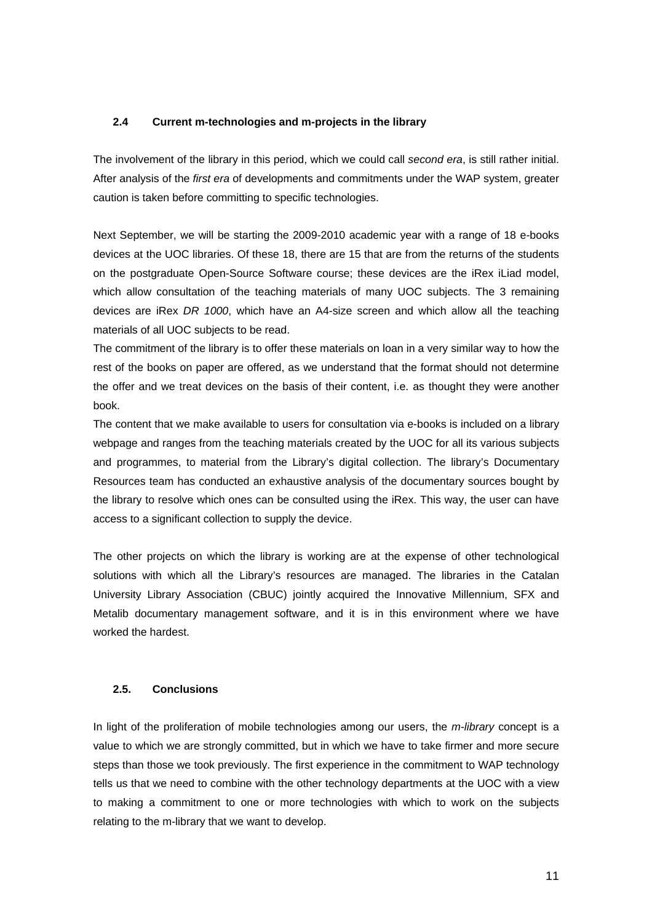#### **2.4 Current m-technologies and m-projects in the library**

The involvement of the library in this period, which we could call *second era*, is still rather initial. After analysis of the *first era* of developments and commitments under the WAP system, greater caution is taken before committing to specific technologies.

Next September, we will be starting the 2009-2010 academic year with a range of 18 e-books devices at the UOC libraries. Of these 18, there are 15 that are from the returns of the students on the postgraduate Open-Source Software course; these devices are the iRex iLiad model, which allow consultation of the teaching materials of many UOC subjects. The 3 remaining devices are iRex *DR 1000*, which have an A4-size screen and which allow all the teaching materials of all UOC subjects to be read.

The commitment of the library is to offer these materials on loan in a very similar way to how the rest of the books on paper are offered, as we understand that the format should not determine the offer and we treat devices on the basis of their content, i.e. as thought they were another book.

The content that we make available to users for consultation via e-books is included on a library webpage and ranges from the teaching materials created by the UOC for all its various subjects and programmes, to material from the Library's digital collection. The library's Documentary Resources team has conducted an exhaustive analysis of the documentary sources bought by the library to resolve which ones can be consulted using the iRex. This way, the user can have access to a significant collection to supply the device.

The other projects on which the library is working are at the expense of other technological solutions with which all the Library's resources are managed. The libraries in the Catalan University Library Association (CBUC) jointly acquired the Innovative Millennium, SFX and Metalib documentary management software, and it is in this environment where we have worked the hardest.

### **2.5. Conclusions**

In light of the proliferation of mobile technologies among our users, the *m-library* concept is a value to which we are strongly committed, but in which we have to take firmer and more secure steps than those we took previously. The first experience in the commitment to WAP technology tells us that we need to combine with the other technology departments at the UOC with a view to making a commitment to one or more technologies with which to work on the subjects relating to the m-library that we want to develop.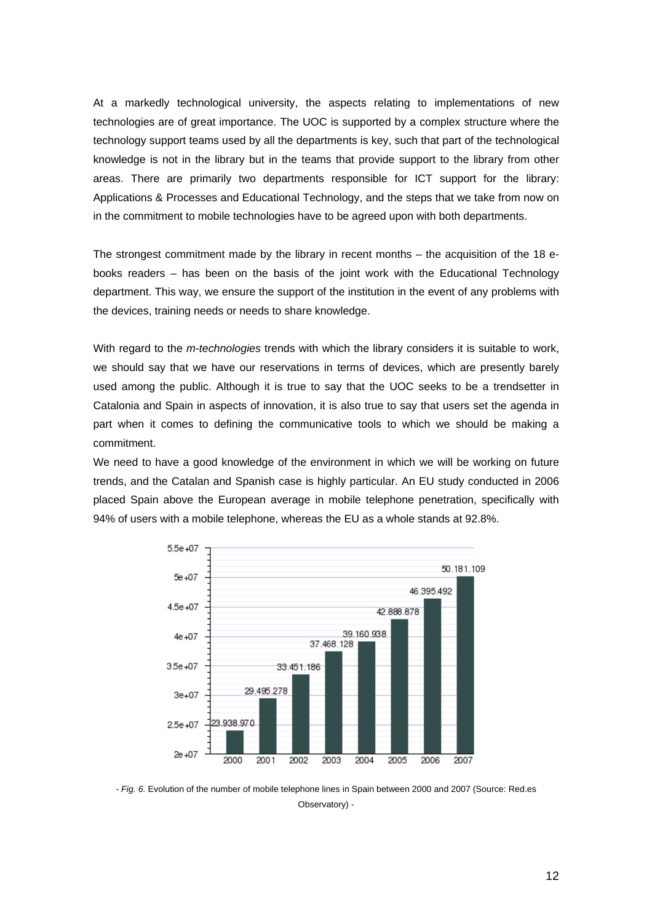At a markedly technological university, the aspects relating to implementations of new technologies are of great importance. The UOC is supported by a complex structure where the technology support teams used by all the departments is key, such that part of the technological knowledge is not in the library but in the teams that provide support to the library from other areas. There are primarily two departments responsible for ICT support for the library: Applications & Processes and Educational Technology, and the steps that we take from now on in the commitment to mobile technologies have to be agreed upon with both departments.

The strongest commitment made by the library in recent months – the acquisition of the 18 ebooks readers – has been on the basis of the joint work with the Educational Technology department. This way, we ensure the support of the institution in the event of any problems with the devices, training needs or needs to share knowledge.

With regard to the *m-technologies* trends with which the library considers it is suitable to work, we should say that we have our reservations in terms of devices, which are presently barely used among the public. Although it is true to say that the UOC seeks to be a trendsetter in Catalonia and Spain in aspects of innovation, it is also true to say that users set the agenda in part when it comes to defining the communicative tools to which we should be making a commitment.

We need to have a good knowledge of the environment in which we will be working on future trends, and the Catalan and Spanish case is highly particular. An EU study conducted in 2006 placed Spain above the European average in mobile telephone penetration, specifically with 94% of users with a mobile telephone, whereas the EU as a whole stands at 92.8%.



- *Fig. 6.* Evolution of the number of mobile telephone lines in Spain between 2000 and 2007 (Source: Red.es Observatory) -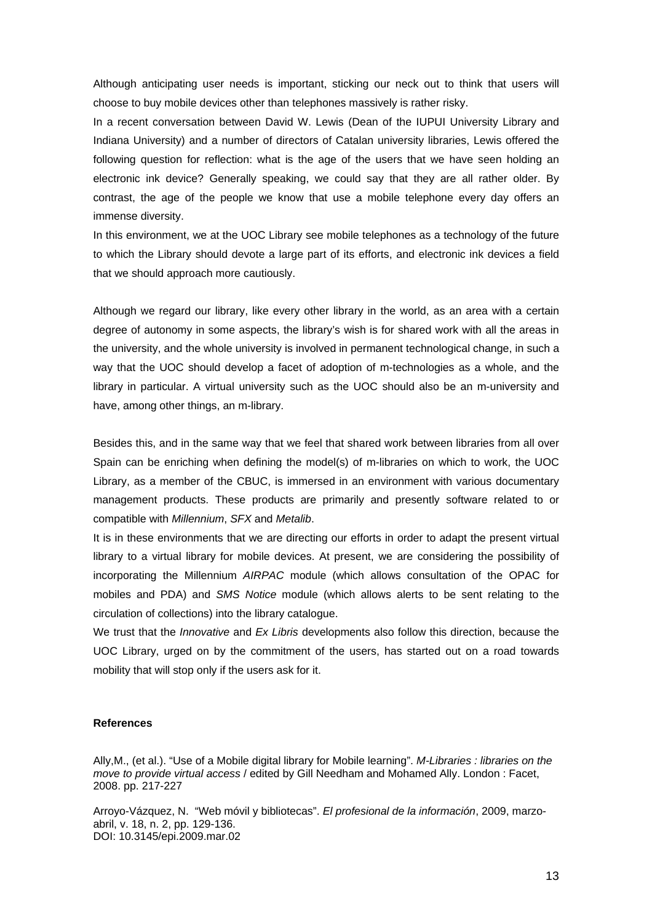Although anticipating user needs is important, sticking our neck out to think that users will choose to buy mobile devices other than telephones massively is rather risky.

In a recent conversation between David W. Lewis (Dean of the IUPUI University Library and Indiana University) and a number of directors of Catalan university libraries, Lewis offered the following question for reflection: what is the age of the users that we have seen holding an electronic ink device? Generally speaking, we could say that they are all rather older. By contrast, the age of the people we know that use a mobile telephone every day offers an immense diversity.

In this environment, we at the UOC Library see mobile telephones as a technology of the future to which the Library should devote a large part of its efforts, and electronic ink devices a field that we should approach more cautiously.

Although we regard our library, like every other library in the world, as an area with a certain degree of autonomy in some aspects, the library's wish is for shared work with all the areas in the university, and the whole university is involved in permanent technological change, in such a way that the UOC should develop a facet of adoption of m-technologies as a whole, and the library in particular. A virtual university such as the UOC should also be an m-university and have, among other things, an m-library.

Besides this, and in the same way that we feel that shared work between libraries from all over Spain can be enriching when defining the model(s) of m-libraries on which to work, the UOC Library, as a member of the CBUC, is immersed in an environment with various documentary management products. These products are primarily and presently software related to or compatible with *Millennium*, *SFX* and *Metalib*.

It is in these environments that we are directing our efforts in order to adapt the present virtual library to a virtual library for mobile devices. At present, we are considering the possibility of incorporating the Millennium *AIRPAC* module (which allows consultation of the OPAC for mobiles and PDA) and *SMS Notice* module (which allows alerts to be sent relating to the circulation of collections) into the library catalogue.

We trust that the *Innovative* and *Ex Libris* developments also follow this direction, because the UOC Library, urged on by the commitment of the users, has started out on a road towards mobility that will stop only if the users ask for it.

#### **References**

Ally,M., (et al.). "Use of a Mobile digital library for Mobile learning". *M-Libraries : libraries on the move to provide virtual access* / edited by Gill Needham and Mohamed Ally. London : Facet, 2008. pp. 217-227

Arroyo-Vázquez, N. "Web móvil y bibliotecas". *El profesional de la información*, 2009, marzoabril, v. 18, n. 2, pp. 129-136. DOI: 10.3145/epi.2009.mar.02